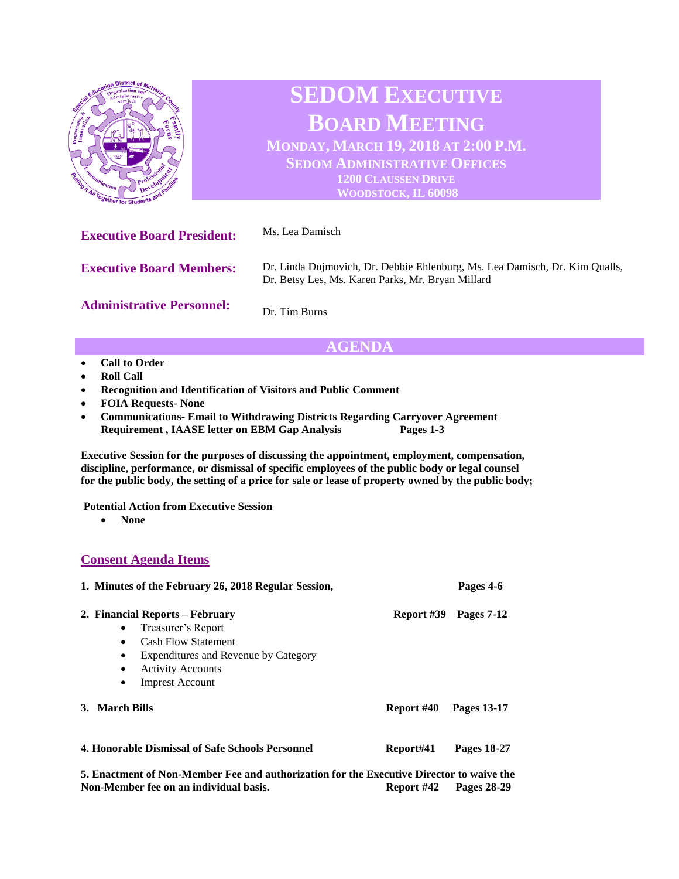

# **AGENDA**

- **Call to Order**
- **Roll Call**
- **Recognition and Identification of Visitors and Public Comment**
- **FOIA Requests- None**
- **Communications- Email to Withdrawing Districts Regarding Carryover Agreement Requirement , IAASE letter on EBM Gap Analysis Pages 1-3**

**Executive Session for the purposes of discussing the appointment, employment, compensation, discipline, performance, or dismissal of specific employees of the public body or legal counsel for the public body, the setting of a price for sale or lease of property owned by the public body;**

**Potential Action from Executive Session** 

• **None**

## **Consent Agenda Items**

| 1. Minutes of the February 26, 2018 Regular Session,                                                                                                                                                                                               |            | Pages 4-6   |
|----------------------------------------------------------------------------------------------------------------------------------------------------------------------------------------------------------------------------------------------------|------------|-------------|
| 2. Financial Reports – February<br>Treasurer's Report<br>$\bullet$<br><b>Cash Flow Statement</b><br>$\bullet$<br>Expenditures and Revenue by Category<br>$\bullet$<br><b>Activity Accounts</b><br>$\bullet$<br><b>Imprest Account</b><br>$\bullet$ | Report #39 | Pages 7-12  |
| 3. March Bills                                                                                                                                                                                                                                     | Report #40 | Pages 13-17 |
| 4. Honorable Dismissal of Safe Schools Personnel                                                                                                                                                                                                   | Report#41  | Pages 18-27 |
| 5. Enactment of Non-Member Fee and authorization for the Executive Director to waive the                                                                                                                                                           |            |             |

**5. Enactment of Non-Member Fee and authorization for the Executive Director to waive the Non-Member fee on an individual basis. Report #42 Pages 28-29**